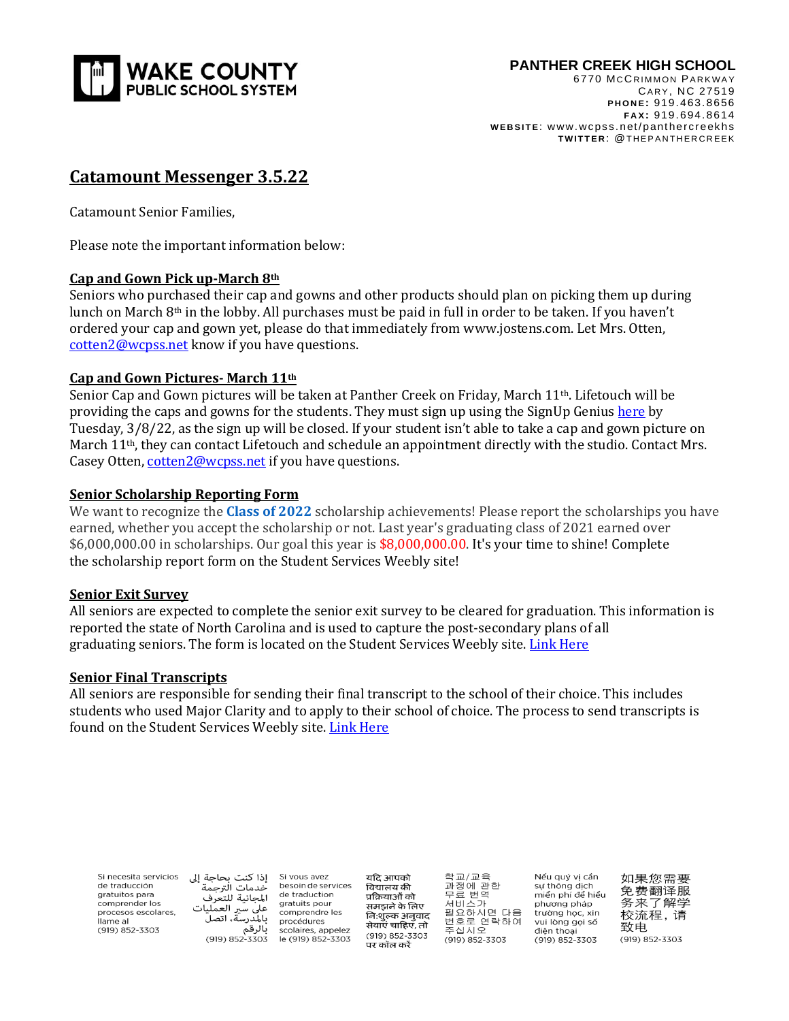

6770 MCCRIMMON PARKWAY CARY, NC 27519  **P H O N E:** 919. 463. 8656  **F A X:** 919. 694. 8614  **W EB S I T E**: www.wcpss. net/ pant hercreekhs **TWITTER: @THEPANTHERCREEK** 

# **Catamount Messenger 3.5.22**

Catamount Senior Families,

Please note the important information below:

## **Cap and Gown Pick up-March 8th**

Seniors who purchased their cap and gowns and other products should plan on picking them up during lunch on March 8th in the lobby. All purchases must be paid in full in order to be taken. If you haven't ordered your cap and gown yet, please do that immediately from www.jostens.com. Let Mrs. Otten, [cotten2@wcpss.net](mailto:cotten2@wcpss.net) know if you have questions.

#### **Cap and Gown Pictures- March 11th**

Senior Cap and Gown pictures will be taken at Panther Creek on Friday, March 11th. Lifetouch will be providing the caps and gowns for the students. They must sign up using the SignUp Genius [here](https://www.signupgenius.com/go/60B0948ADA82EA20-senior) by Tuesday, 3/8/22, as the sign up will be closed. If your student isn't able to take a cap and gown picture on March 11<sup>th</sup>, they can contact Lifetouch and schedule an appointment directly with the studio. Contact Mrs. Casey Otten, [cotten2@wcpss.net](mailto:cotten2@wcpss.net) if you have questions.

#### **Senior Scholarship Reporting Form**

We want to recognize the **Class of 2022** scholarship achievements! Please report the scholarships you have earned, whether you accept the scholarship or not. Last year's graduating class of 2021 earned over \$6,000,000.00 in scholarships. Our goal this year is \$8,000,000.00. It's your time to shine! Complete the scholarship report form on the Student Services Weebly site!

#### **Senior Exit Survey**

All seniors are expected to complete the senior exit survey to be cleared for graduation. This information is reported the state of North Carolina and is used to capture the post-secondary plans of all graduating seniors. The form is located on the Student Services Weebly site. Link [Here](https://forms.gle/d62JVnVSmuVkvhWX7)

## **Senior Final Transcripts**

All seniors are responsible for sending their final transcript to the school of their choice. This includes students who used Major Clarity and to apply to their school of choice. The process to send transcripts is found on the Student Services Weebly site. Link [Here](http://pchsstudentservices.weebly.com/seniors.html)

| Si necesita servicios<br>de traducción<br>gratuitos para<br>comprender los<br>procesos escolares.<br>llame al<br>(919) 852-3303 | إذا كنت بحاجة إلى<br>خدمات الترحمة<br>المجانبة للتعرف<br>على سير العمليات<br>ىالمدرسة، اتصل<br>بالرقم<br>(919) 852-3303 | Si vous avez<br>besoin de services<br>de traduction<br>gratuits pour<br>comprendre les<br>procédures<br>scolaires, appelez<br>le (919) 852-3303 | यदि आपको<br>विद्यालय की<br>प्रक्रियाओं को<br>समझने के लिए<br>निःशुल्क अनुवाद<br>सेवाएं चाहिए, तो<br>(919) 852-3303<br>पर कॉल करें | 학교/교육<br>과정에 관한<br>무료 번역<br>서비스가<br>필요하시면 다음<br>번호로 연락하여<br>주십시오<br>(919) 852-3303 | Nếu quý vi cần<br>sư thông dịch<br>miển phí để hiểu<br>phương pháp<br>trường học, xin<br>vui lòng goi số<br>điên thoai<br>(919) 852-3303 | 如果您需要<br>免费翻译服<br>务来了解学<br>校流程, 请<br>致申.<br>(919) 852-3303 |
|---------------------------------------------------------------------------------------------------------------------------------|-------------------------------------------------------------------------------------------------------------------------|-------------------------------------------------------------------------------------------------------------------------------------------------|-----------------------------------------------------------------------------------------------------------------------------------|------------------------------------------------------------------------------------|------------------------------------------------------------------------------------------------------------------------------------------|------------------------------------------------------------|
|---------------------------------------------------------------------------------------------------------------------------------|-------------------------------------------------------------------------------------------------------------------------|-------------------------------------------------------------------------------------------------------------------------------------------------|-----------------------------------------------------------------------------------------------------------------------------------|------------------------------------------------------------------------------------|------------------------------------------------------------------------------------------------------------------------------------------|------------------------------------------------------------|